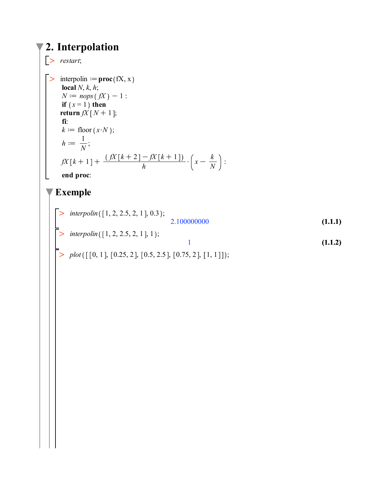## **2. Interpolation**

>> restart;  
\n
$$
\begin{array}{ll}\n> \text{interpolin} := \text{proc}(fX, x) \\
\text{local } N, k, h; \\
N := nops(fX) - 1: \\
\text{if } (x = 1) \text{ then} \\
\text{return } N[N + 1]; \\
f: \\
k := \text{floor}(x \cdot N); \\
h := \frac{1}{N}; \\
\beta X[k + 1] + \frac{(\beta X[k + 2] - \beta X[k + 1])}{h} \cdot \left(x - \frac{k}{N}\right): \\
\text{end proc:} \\
\text{Example}\n\begin{array}{ll}\n> \text{interpolin}([1, 2, 2.5, 2, 1], 0.3); \\
> \text{interpolin}([1, 2, 2.5, 2, 1], 1);\n\end{array}
$$
\n(1.1.1)

 $> plot([\n[0, 1], [0.25, 2], [0.5, 2.5], [0.75, 2], [1, 1]]);$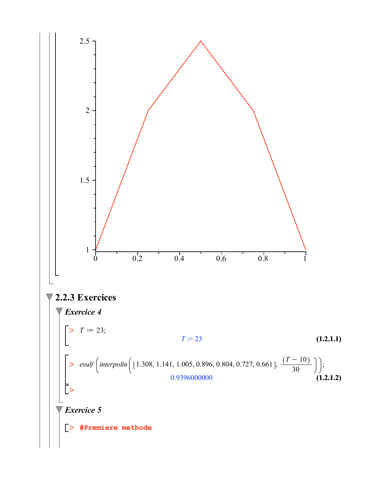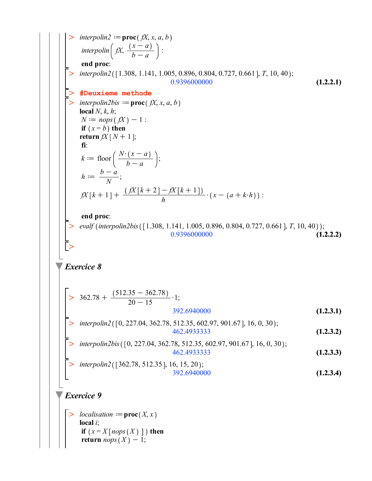>\n
$$
\begin{array}{|c|l|}\n\hline\n> interpolation 2 &= \text{proc}(f, x, a, b) \\
\text{interpolin}\left(f, \frac{(x - a)}{b - a}\right) : \\
\hline\n\text{end } \text{prec.} \\
\hline\n\text{interpolin2}([1.308, 1.141, 1.005, 0.896, 0.804, 0.727, 0.661], T, 10, 40); \\
\hline\n\text{N:perpolin2}([1.308, 1.141, 1.005, 0.896, 0.804, 0.727, 0.661], T, 10, 40); \\
\hline\n\text{N:perpolin2}(\text{N: } x, a, b) \\
\hline\n\text{intr}(\text{error } f, X, h, h); \\
N := n\text{opt}(f) \\\text{return } fX[N+1]; \\
\text{f: } \\
h := \frac{b - a}{N}; \\
fX[k+1] + \frac{(fX[k+2] - fX[k+1])}{h} \cdot (x - (a + k \cdot h)) : \\
\hline\n\text{end } \text{proc:} \\
\text{evalf}(interpolin2bis([1.308, 1.141, 1.005, 0.896, 0.804, 0.727, 0.661], T, 10, 40)); \\
\hline\n\text{end } \text{proc:} \\
\text{Exercise 8}\n\left[\n> 362.78 + \frac{(512.35 - 362.78)}{20 - 15} \cdot 1; \\
\text{interpolin2}([0, 227.04, 362.78, 512.35, 602.97, 901.67], 16, 0, 30); \\
\hline\n\text{interpolin2}([0, 227.04, 362.78, 512.35, 602.97, 901.67], 16, 0, 30); \\
\hline\n\text{interpolin2}([0, 227.04, 362.78, 512.35, 602.97, 901.67], 16, 0, 30); \\
\hline\n\text{interpolin2}([362.78, 512.35], 16, 15, 20); \\
\
$$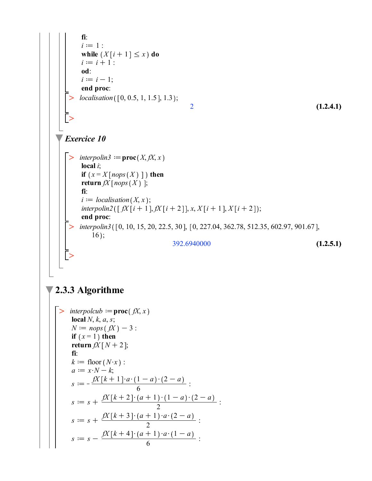| f                                    | i := 1 :     |
|--------------------------------------|--------------|
| while $(X[i + 1] \le x)$ do          |              |
| $i := i + 1$ :                       |              |
| of :                                 | ii := i - 1; |
| end proc:                            |              |
| localisation([0, 0.5, 1, 1.5], 1.3); |              |
| Exercise 10                          |              |

\n**Exercise 10**

\n**Exercise 10**

\n
$$
\left[\begin{array}{c}\n\therefore \text{interpolin3} := \text{proc}(X, \beta X, x) \\
\text{local } i; \\
\text{if } (x = X[nops(X)]) \text{ then } \\
\text{return } \beta \left[\begin{array}{c}\n\text{interpolin2}([ \beta X[i + 1], \beta [i + 2]], x, X[i + 1], X[i + 2]); \\
\text{in the polynomial }([ \beta X[i + 1], \beta Y[i + 2]], x, X[i + 1], X[i + 2]); \\
\text{end proc}: \\
\text{interpolin3}([0, 10, 15, 20, 22.5, 30], [0, 227.04, 362.78, 512.35, 602.97, 901.67], \\
\text{end proc}: \\
\text{interpolin3}([0, 10, 15, 20, 22.5, 30], [0, 227.04, 362.78, 512.35, 602.97, 901.67], \\
\text{endண}(1.2.5.1)
$$

## $\sqrt{2.3.3}$  Algorithme

> *interpolculo* := **proc**(
$$
fX, x
$$
)  
\n**local**  $N, k, a, s$ ;  
\n $N := nops(fX) - 3$ ;  
\n**if**  $(x = 1)$  **then**  
\n**return**  $fX[N + 2]$ ;  
\n**fi**:  
\n $k := floor(N \cdot x)$ ;  
\n $a := x \cdot N - k$ ;  
\n $s := -\frac{fX[k + 1] \cdot a \cdot (1 - a) \cdot (2 - a)}{6}$ ;  
\n $s := s + \frac{fX[k + 2] \cdot (a + 1) \cdot (1 - a) \cdot (2 - a)}{2}$ ;  
\n $s := s + \frac{fX[k + 3] \cdot (a + 1) \cdot a \cdot (2 - a)}{2}$ ;  
\n $s := s - \frac{fX[k + 4] \cdot (a + 1) \cdot a \cdot (1 - a)}{6}$